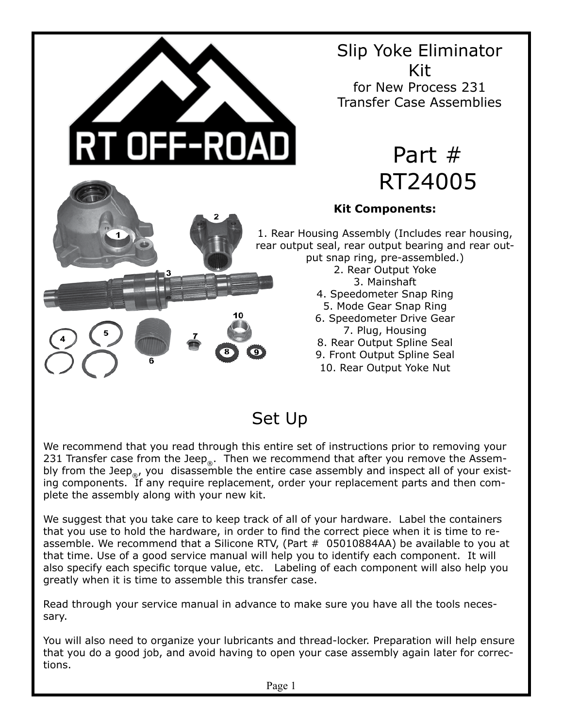

Set Up

We recommend that you read through this entire set of instructions prior to removing your 231 Transfer case from the Jeep<sub>®</sub>. Then we recommend that after you remove the Assembly from the Jeep<sub>®</sub>, you disassemble the entire case assembly and inspect all of your existing components. If any require replacement, order your replacement parts and then complete the assembly along with your new kit.

We suggest that you take care to keep track of all of your hardware. Label the containers that you use to hold the hardware, in order to find the correct piece when it is time to reassemble. We recommend that a Silicone RTV, (Part  $#$  05010884AA) be available to you at that time. Use of a good service manual will help you to identify each component. It will also specify each specific torque value, etc. Labeling of each component will also help you greatly when it is time to assemble this transfer case.

Read through your service manual in advance to make sure you have all the tools necessary.

You will also need to organize your lubricants and thread-locker. Preparation will help ensure that you do a good job, and avoid having to open your case assembly again later for corrections.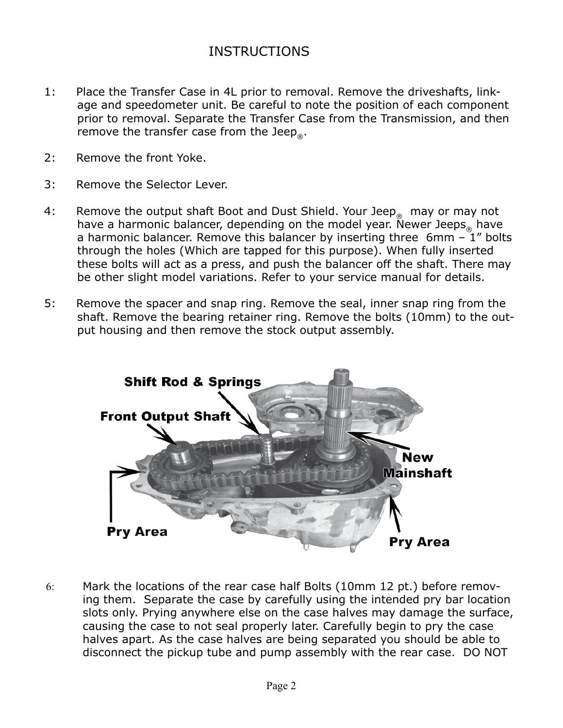## INSTRUCTIONS

- 1: Place the Transfer Case in 4L prior to removal. Remove the driveshafts, linkage and speedometer unit. Be careful to note the position of each component prior to removal. Separate the Transfer Case from the Transmission, and then remove the transfer case from the Jeep<sub>®</sub>.
- 2: Remove the front Yoke.
- 3: Remove the Selector Lever.
- 4: Remove the output shaft Boot and Dust Shield. Your Jeep<sub>®</sub> may or may not have a harmonic balancer, depending on the model year. Newer Jeeps have a harmonic balancer. Remove this balancer by inserting three  $6mm - 1"$  bolts through the holes (Which are tapped for this purpose). When fully inserted these bolts will act as a press, and push the balancer off the shaft. There may be other slight model variations. Refer to your service manual for details.
- 5: Remove the spacer and snap ring. Remove the seal, inner snap ring from the shaft. Remove the bearing retainer ring. Remove the bolts (10mm) to the output housing and then remove the stock output assembly.



6: Mark the locations of the rear case half Bolts (10mm 12 pt.) before removing them. Separate the case by carefully using the intended pry bar location slots only. Prying anywhere else on the case halves may damage the surface, causing the case to not seal properly later. Carefully begin to pry the case halves apart. As the case halves are being separated you should be able to disconnect the pickup tube and pump assembly with the rear case. DO NOT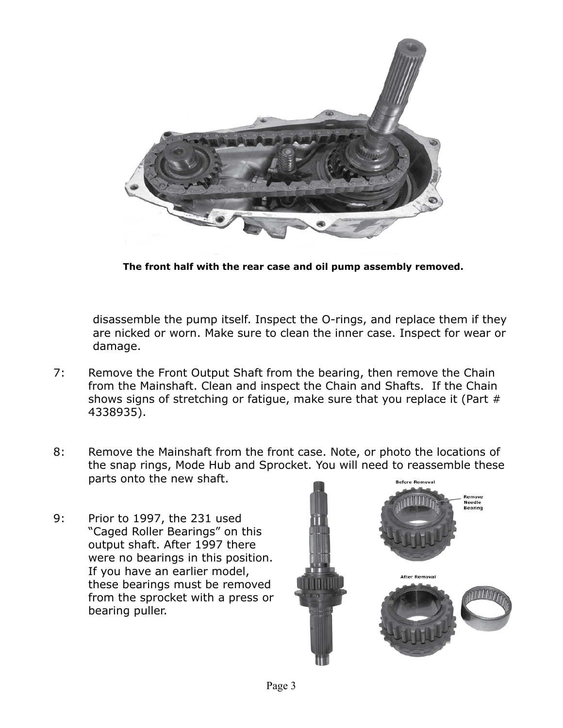

**The front half with the rear case and oil pump assembly removed.** 

disassemble the pump itself. Inspect the O-rings, and replace them if they are nicked or worn. Make sure to clean the inner case. Inspect for wear or damage.

- 7: Remove the Front Output Shaft from the bearing, then remove the Chain from the Mainshaft. Clean and inspect the Chain and Shafts. If the Chain shows signs of stretching or fatigue, make sure that you replace it (Part # 4338935).
- 8: Remove the Mainshaft from the front case. Note, or photo the locations of the snap rings, Mode Hub and Sprocket. You will need to reassemble these parts onto the new shaft. **Before Removal**
- 9: Prior to 1997, the 231 used "Caged Roller Bearings" on this output shaft. After 1997 there were no bearings in this position. If you have an earlier model, these bearings must be removed from the sprocket with a press or bearing puller.

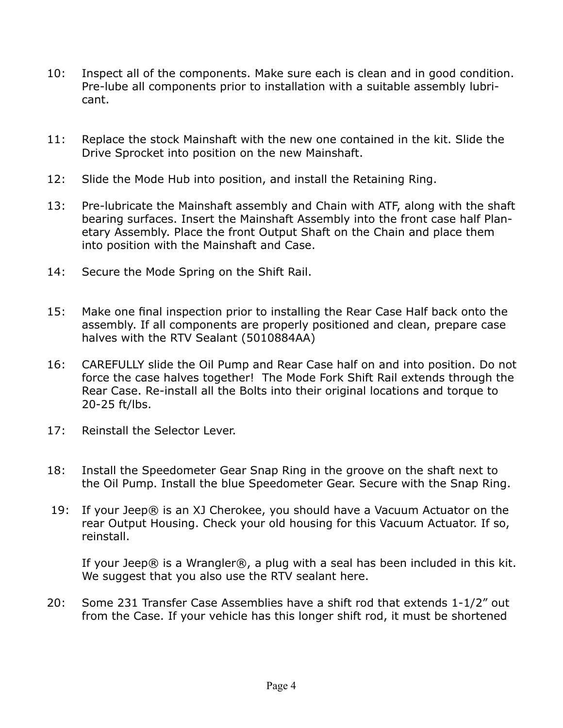- 10: Inspect all of the components. Make sure each is clean and in good condition. Pre-lube all components prior to installation with a suitable assembly lubricant.
- 11: Replace the stock Mainshaft with the new one contained in the kit. Slide the Drive Sprocket into position on the new Mainshaft.
- 12: Slide the Mode Hub into position, and install the Retaining Ring.
- 13: Pre-lubricate the Mainshaft assembly and Chain with ATF, along with the shaft bearing surfaces. Insert the Mainshaft Assembly into the front case half Planetary Assembly. Place the front Output Shaft on the Chain and place them into position with the Mainshaft and Case.
- 14: Secure the Mode Spring on the Shift Rail.
- 15: Make one final inspection prior to installing the Rear Case Half back onto the assembly. If all components are properly positioned and clean, prepare case halves with the RTV Sealant (5010884AA)
- 16: CAREFULLY slide the Oil Pump and Rear Case half on and into position. Do not force the case halves together! The Mode Fork Shift Rail extends through the Rear Case. Re-install all the Bolts into their original locations and torque to 20-25 ft/lbs.
- 17: Reinstall the Selector Lever.
- 18: Install the Speedometer Gear Snap Ring in the groove on the shaft next to the Oil Pump. Install the blue Speedometer Gear. Secure with the Snap Ring.
- 19: If your Jeep® is an XJ Cherokee, you should have a Vacuum Actuator on the rear Output Housing. Check your old housing for this Vacuum Actuator. If so, reinstall.

If your Jeep® is a Wrangler®, a plug with a seal has been included in this kit. We suggest that you also use the RTV sealant here.

20: Some 231 Transfer Case Assemblies have a shift rod that extends 1-1/2" out from the Case. If your vehicle has this longer shift rod, it must be shortened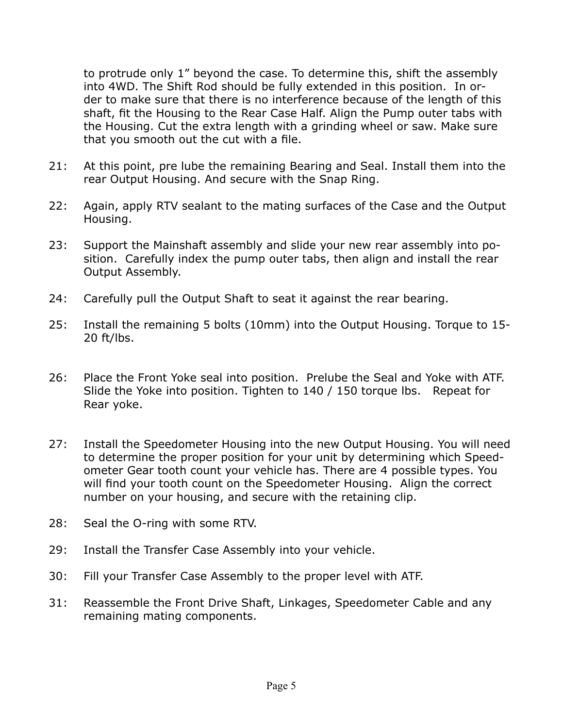to protrude only 1" beyond the case. To determine this, shift the assembly into 4WD. The Shift Rod should be fully extended in this position. In order to make sure that there is no interference because of the length of this shaft, fit the Housing to the Rear Case Half. Align the Pump outer tabs with the Housing. Cut the extra length with a grinding wheel or saw. Make sure that you smooth out the cut with a file.

- 21: At this point, pre lube the remaining Bearing and Seal. Install them into the rear Output Housing. And secure with the Snap Ring.
- 22: Again, apply RTV sealant to the mating surfaces of the Case and the Output Housing.
- 23: Support the Mainshaft assembly and slide your new rear assembly into position. Carefully index the pump outer tabs, then align and install the rear Output Assembly.
- 24: Carefully pull the Output Shaft to seat it against the rear bearing.
- 25: Install the remaining 5 bolts (10mm) into the Output Housing. Torque to 15- 20 ft/lbs.
- 26: Place the Front Yoke seal into position. Prelube the Seal and Yoke with ATF. Slide the Yoke into position. Tighten to 140 / 150 torque lbs. Repeat for Rear yoke.
- 27: Install the Speedometer Housing into the new Output Housing. You will need to determine the proper position for your unit by determining which Speedometer Gear tooth count your vehicle has. There are 4 possible types. You will find your tooth count on the Speedometer Housing. Align the correct number on your housing, and secure with the retaining clip.
- 28: Seal the O-ring with some RTV.
- 29: Install the Transfer Case Assembly into your vehicle.
- 30: Fill your Transfer Case Assembly to the proper level with ATF.
- 31: Reassemble the Front Drive Shaft, Linkages, Speedometer Cable and any remaining mating components.